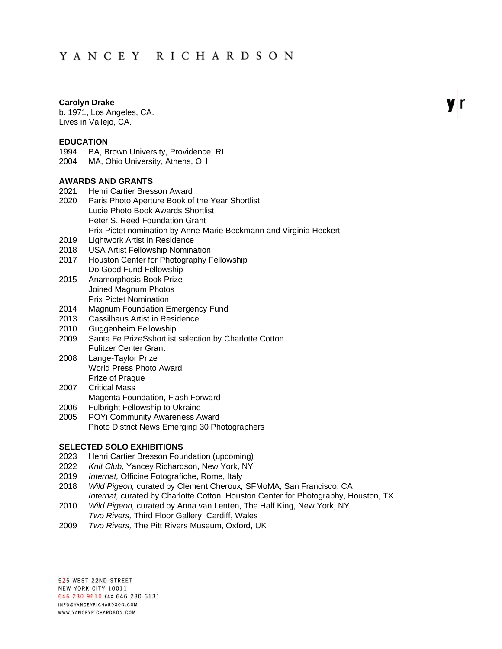# YANCEY RICHARDSON

### **Carolyn Drake**

b. 1971, Los Angeles, CA. Lives in Vallejo, CA.

#### **EDUCATION**

1994 BA, Brown University, Providence, RI

2004 MA, Ohio University, Athens, OH

## **AWARDS AND GRANTS**

- 2021 Henri Cartier Bresson Award
- 2020 Paris Photo Aperture Book of the Year Shortlist Lucie Photo Book Awards Shortlist Peter S. Reed Foundation Grant Prix Pictet nomination by Anne-Marie Beckmann and Virginia Heckert
- 2019 Lightwork Artist in Residence
- 2018 USA Artist Fellowship Nomination
- 2017 Houston Center for Photography Fellowship Do Good Fund Fellowship
- 2015 Anamorphosis Book Prize Joined Magnum Photos Prix Pictet Nomination
- 2014 Magnum Foundation Emergency Fund
- 2013 Cassilhaus Artist in Residence
- 2010 Guggenheim Fellowship
- 2009 Santa Fe PrizeSshortlist selection by Charlotte Cotton Pulitzer Center Grant
- 2008 Lange-Taylor Prize World Press Photo Award Prize of Prague
- 2007 Critical Mass
- 
- Magenta Foundation, Flash Forward 2006 Fulbright Fellowship to Ukraine
- 2005 POYi Community Awareness Award Photo District News Emerging 30 Photographers

#### **SELECTED SOLO EXHIBITIONS**

- 2023 Henri Cartier Bresson Foundation (upcoming)
- 2022 *Knit Club,* Yancey Richardson, New York, NY
- 2019 *Internat,* Officine Fotografiche, Rome, Italy
- 2018 *Wild Pigeon,* curated by Clement Cheroux*,* SFMoMA, San Francisco, CA
- *Internat,* curated by Charlotte Cotton, Houston Center for Photography, Houston, TX 2010 *Wild Pigeon,* curated by Anna van Lenten, The Half King, New York, NY
- *Two Rivers,* Third Floor Gallery, Cardiff, Wales
- 2009 *Two Rivers,* The Pitt Rivers Museum, Oxford, UK

525 WEST 22ND STREET NEW YORK CITY 10011 646 230 9610 FAX 646 230 6131 INFO@YANCEYRICHARDSON.COM WWW.YANCEYRICHARDSON.COM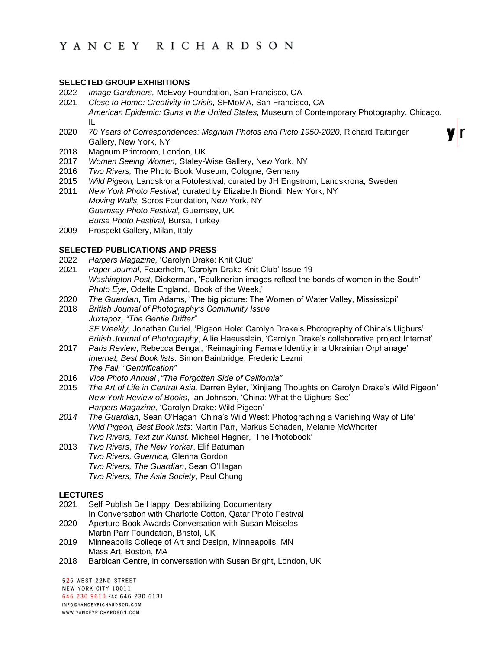## **SELECTED GROUP EXHIBITIONS**

- 2022 *Image Gardeners,* McEvoy Foundation, San Francisco, CA
- 2021 *Close to Home: Creativity in Crisis,* SFMoMA, San Francisco, CA *American Epidemic: Guns in the United States,* Museum of Contemporary Photography, Chicago, IL
- 2020 *70 Years of Correspondences: Magnum Photos and Picto 1950-2020,* Richard Taittinger Gallery, New York, NY
- 2018 Magnum Printroom, London, UK
- 2017 *Women Seeing Women,* Staley-Wise Gallery, New York, NY
- 2016 *Two Rivers,* The Photo Book Museum, Cologne, Germany
- 2015 *Wild Pigeon,* Landskrona Fotofestival, curated by JH Engstrom, Landskrona, Sweden
- 2011 *New York Photo Festival,* curated by Elizabeth Biondi, New York, NY *Moving Walls,* Soros Foundation, New York, NY *Guernsey Photo Festival,* Guernsey, UK *Bursa Photo Festival,* Bursa, Turkey
- 2009 Prospekt Gallery, Milan, Italy

# **SELECTED PUBLICATIONS AND PRESS**

- 2022 *Harpers Magazine,* 'Carolyn Drake: Knit Club'
- 2021 *Paper Journal*, Feuerhelm, 'Carolyn Drake Knit Club' Issue 19 *Washington Post*, Dickerman, 'Faulknerian images reflect the bonds of women in the South' *Photo Eye*, Odette England, 'Book of the Week,'
- 2020 *The Guardian*, Tim Adams, 'The big picture: The Women of Water Valley, Mississippi'
- 2018 *British Journal of Photography's Community Issue Juxtapoz, "The Gentle Drifter" SF Weekly,* Jonathan Curiel, 'Pigeon Hole: Carolyn Drake's Photography of China's Uighurs' *British Journal of Photography*, Allie Haeusslein, 'Carolyn Drake's collaborative project Internat'
- 2017 *Paris Review*, Rebecca Bengal, 'Reimagining Female Identity in a Ukrainian Orphanage' *Internat, Best Book lists*: Simon Bainbridge, Frederic Lezmi *The Fall, "Gentrification"*
- 2016 *Vice Photo Annual ,"The Forgotten Side of California"*
- 2015 *The Art of Life in Central Asia,* Darren Byler, 'Xinjiang Thoughts on Carolyn Drake's Wild Pigeon' *New York Review of Books*, Ian Johnson, 'China: What the Uighurs See' *Harpers Magazine,* 'Carolyn Drake: Wild Pigeon'
- *2014 The Guardian*, Sean O'Hagan 'China's Wild West: Photographing a Vanishing Way of Life' *Wild Pigeon, Best Book lists*: Martin Parr, Markus Schaden, Melanie McWhorter *Two Rivers, Text zur Kunst,* Michael Hagner, 'The Photobook'
- 2013 *Two Rivers*, *The New Yorker*, Elif Batuman *Two Rivers, Guernica,* Glenna Gordon *Two Rivers, The Guardian*, Sean O'Hagan *Two Rivers, The Asia Society*, Paul Chung

# **LECTURES**

- 2021 Self Publish Be Happy: Destabilizing Documentary In Conversation with Charlotte Cotton, Qatar Photo Festival
- 2020 Aperture Book Awards Conversation with Susan Meiselas Martin Parr Foundation, Bristol, UK
- 2019 Minneapolis College of Art and Design, Minneapolis, MN Mass Art, Boston, MA
- 2018 Barbican Centre, in conversation with Susan Bright, London, UK

525 WEST 22ND STREET NEW YORK CITY 10011 646 230 9610 FAX 646 230 6131 INFO@YANCEYRICHARDSON.COM WWW.YANCEYRICHARDSON.COM

r